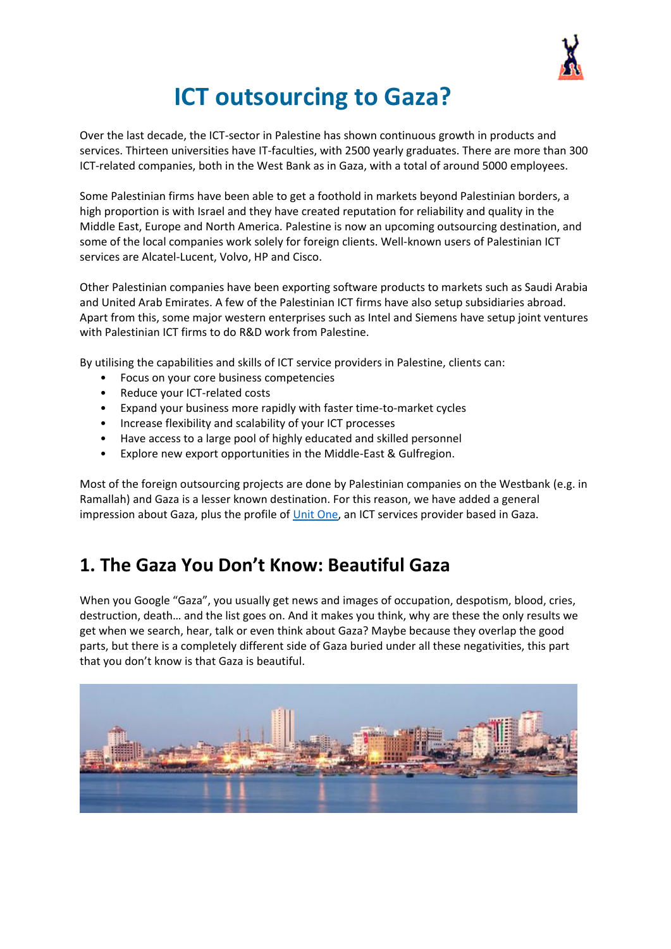

# **ICT outsourcing to Gaza?**

Over the last decade, the ICT‐sector in Palestine has shown continuous growth in products and services. Thirteen universities have IT‐faculties, with 2500 yearly graduates. There are more than 300 ICT-related companies, both in the West Bank as in Gaza, with a total of around 5000 employees.

Some Palestinian firms have been able to get a foothold in markets beyond Palestinian borders, a high proportion is with Israel and they have created reputation for reliability and quality in the Middle East, Europe and North America. Palestine is now an upcoming outsourcing destination, and some of the local companies work solely for foreign clients. Well-known users of Palestinian ICT services are Alcatel‐Lucent, Volvo, HP and Cisco.

Other Palestinian companies have been exporting software products to markets such as Saudi Arabia and United Arab Emirates. A few of the Palestinian ICT firms have also setup subsidiaries abroad. Apart from this, some major western enterprises such as Intel and Siemens have setup joint ventures with Palestinian ICT firms to do R&D work from Palestine.

By utilising the capabilities and skills of ICT service providers in Palestine, clients can:

- Focus on your core business competencies
- Reduce your ICT-related costs
- Expand your business more rapidly with faster time-to-market cycles
- Increase flexibility and scalability of your ICT processes
- Have access to a large pool of highly educated and skilled personnel
- Explore new export opportunities in the Middle-East & Gulfregion.

Most of the foreign outsourcing projects are done by Palestinian companies on the Westbank (e.g. in Ramallah) and Gaza is a lesser known destination. For this reason, we have added a general impression about Gaza, plus the profile of [Unit One,](http://www.unitone.co/) an ICT services provider based in Gaza.

# **1. The Gaza You Don't Know: Beautiful Gaza**

When you Google "Gaza", you usually get news and images of occupation, despotism, blood, cries, destruction, death… and the list goes on. And it makes you think, why are these the only results we get when we search, hear, talk or even think about Gaza? Maybe because they overlap the good parts, but there is a completely different side of Gaza buried under all these negativities, this part that you don't know is that Gaza is beautiful.

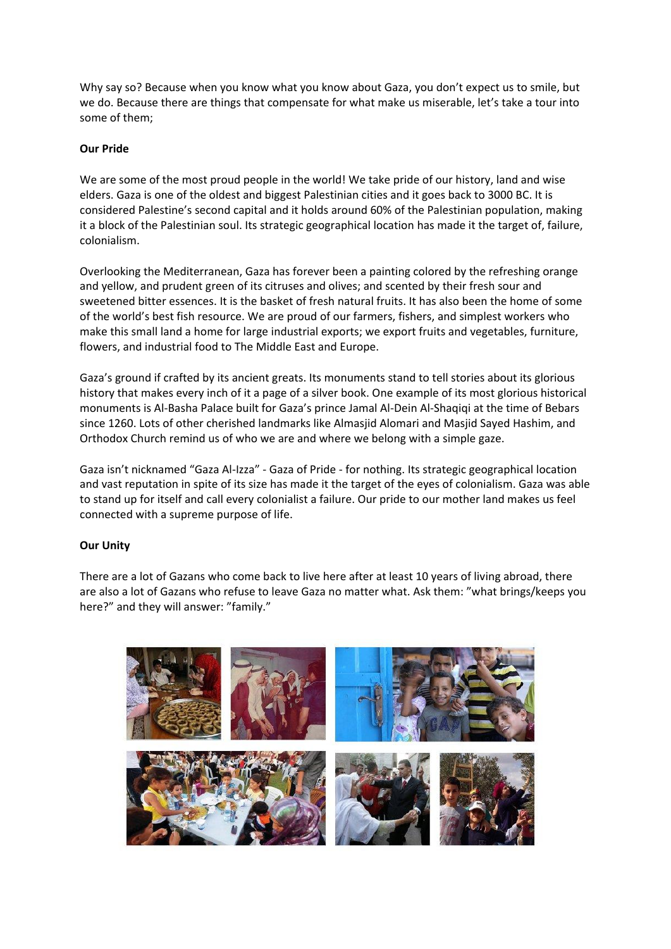Why say so? Because when you know what you know about Gaza, you don't expect us to smile, but we do. Because there are things that compensate for what make us miserable, let's take a tour into some of them;

### **Our Pride**

We are some of the most proud people in the world! We take pride of our history, land and wise elders. Gaza is one of the oldest and biggest Palestinian cities and it goes back to 3000 BC. It is considered Palestine's second capital and it holds around 60% of the Palestinian population, making it a block of the Palestinian soul. Its strategic geographical location has made it the target of, failure, colonialism.

Overlooking the Mediterranean, Gaza has forever been a painting colored by the refreshing orange and yellow, and prudent green of its citruses and olives; and scented by their fresh sour and sweetened bitter essences. It is the basket of fresh natural fruits. It has also been the home of some of the world's best fish resource. We are proud of our farmers, fishers, and simplest workers who make this small land a home for large industrial exports; we export fruits and vegetables, furniture, flowers, and industrial food to The Middle East and Europe.

Gaza's ground if crafted by its ancient greats. Its monuments stand to tell stories about its glorious history that makes every inch of it a page of a silver book. One example of its most glorious historical monuments is Al-Basha Palace built for Gaza's prince Jamal Al-Dein Al-Shaqiqi at the time of Bebars since 1260. Lots of other cherished landmarks like Almasjid Alomari and Masjid Sayed Hashim, and Orthodox Church remind us of who we are and where we belong with a simple gaze.

Gaza isn't nicknamed "Gaza Al-Izza" - Gaza of Pride - for nothing. Its strategic geographical location and vast reputation in spite of its size has made it the target of the eyes of colonialism. Gaza was able to stand up for itself and call every colonialist a failure. Our pride to our mother land makes us feel connected with a supreme purpose of life.

### **Our Unity**

There are a lot of Gazans who come back to live here after at least 10 years of living abroad, there are also a lot of Gazans who refuse to leave Gaza no matter what. Ask them: "what brings/keeps you here?" and they will answer: "family."

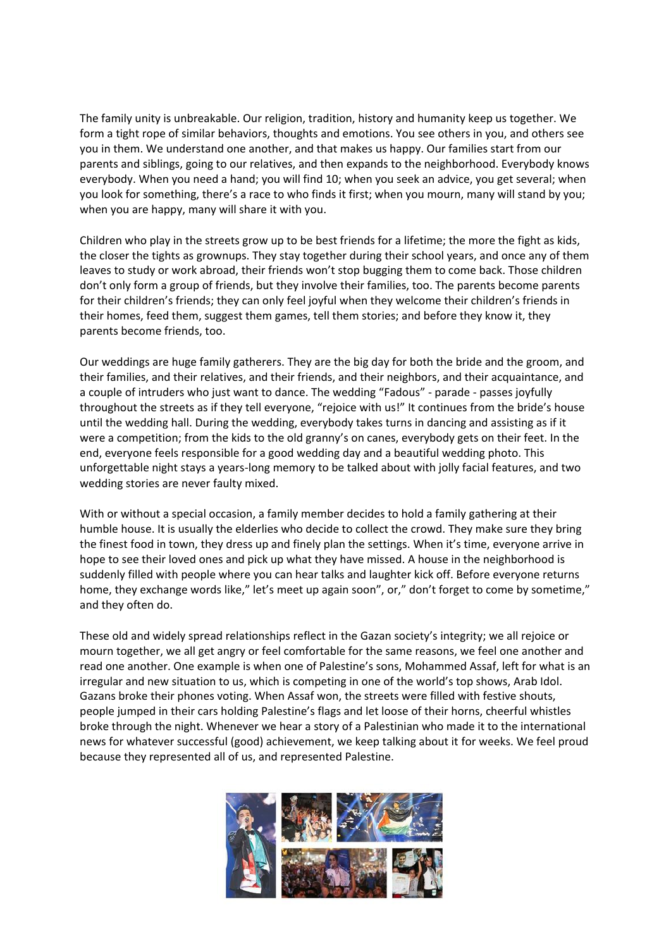The family unity is unbreakable. Our religion, tradition, history and humanity keep us together. We form a tight rope of similar behaviors, thoughts and emotions. You see others in you, and others see you in them. We understand one another, and that makes us happy. Our families start from our parents and siblings, going to our relatives, and then expands to the neighborhood. Everybody knows everybody. When you need a hand; you will find 10; when you seek an advice, you get several; when you look for something, there's a race to who finds it first; when you mourn, many will stand by you; when you are happy, many will share it with you.

Children who play in the streets grow up to be best friends for a lifetime; the more the fight as kids, the closer the tights as grownups. They stay together during their school years, and once any of them leaves to study or work abroad, their friends won't stop bugging them to come back. Those children don't only form a group of friends, but they involve their families, too. The parents become parents for their children's friends; they can only feel joyful when they welcome their children's friends in their homes, feed them, suggest them games, tell them stories; and before they know it, they parents become friends, too.

Our weddings are huge family gatherers. They are the big day for both the bride and the groom, and their families, and their relatives, and their friends, and their neighbors, and their acquaintance, and a couple of intruders who just want to dance. The wedding "Fadous" - parade - passes joyfully throughout the streets as if they tell everyone, "rejoice with us!" It continues from the bride's house until the wedding hall. During the wedding, everybody takes turns in dancing and assisting as if it were a competition; from the kids to the old granny's on canes, everybody gets on their feet. In the end, everyone feels responsible for a good wedding day and a beautiful wedding photo. This unforgettable night stays a years-long memory to be talked about with jolly facial features, and two wedding stories are never faulty mixed.

With or without a special occasion, a family member decides to hold a family gathering at their humble house. It is usually the elderlies who decide to collect the crowd. They make sure they bring the finest food in town, they dress up and finely plan the settings. When it's time, everyone arrive in hope to see their loved ones and pick up what they have missed. A house in the neighborhood is suddenly filled with people where you can hear talks and laughter kick off. Before everyone returns home, they exchange words like," let's meet up again soon", or," don't forget to come by sometime," and they often do.

These old and widely spread relationships reflect in the Gazan society's integrity; we all rejoice or mourn together, we all get angry or feel comfortable for the same reasons, we feel one another and read one another. One example is when one of Palestine's sons, Mohammed Assaf, left for what is an irregular and new situation to us, which is competing in one of the world's top shows, Arab Idol. Gazans broke their phones voting. When Assaf won, the streets were filled with festive shouts, people jumped in their cars holding Palestine's flags and let loose of their horns, cheerful whistles broke through the night. Whenever we hear a story of a Palestinian who made it to the international news for whatever successful (good) achievement, we keep talking about it for weeks. We feel proud because they represented all of us, and represented Palestine.

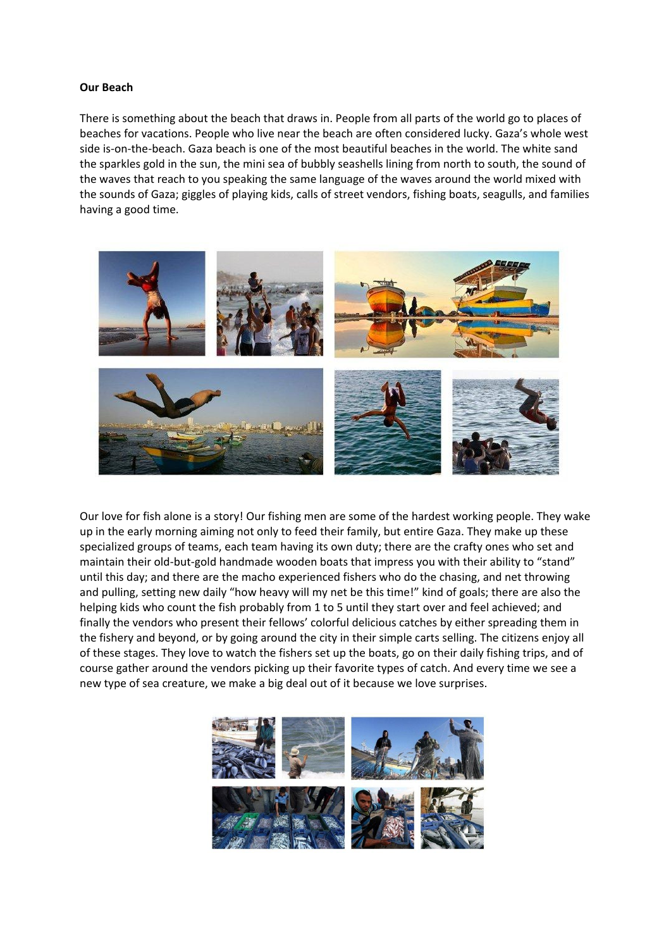#### **Our Beach**

There is something about the beach that draws in. People from all parts of the world go to places of beaches for vacations. People who live near the beach are often considered lucky. Gaza's whole west side is-on-the-beach. Gaza beach is one of the most beautiful beaches in the world. The white sand the sparkles gold in the sun, the mini sea of bubbly seashells lining from north to south, the sound of the waves that reach to you speaking the same language of the waves around the world mixed with the sounds of Gaza; giggles of playing kids, calls of street vendors, fishing boats, seagulls, and families having a good time.



Our love for fish alone is a story! Our fishing men are some of the hardest working people. They wake up in the early morning aiming not only to feed their family, but entire Gaza. They make up these specialized groups of teams, each team having its own duty; there are the crafty ones who set and maintain their old-but-gold handmade wooden boats that impress you with their ability to "stand" until this day; and there are the macho experienced fishers who do the chasing, and net throwing and pulling, setting new daily "how heavy will my net be this time!" kind of goals; there are also the helping kids who count the fish probably from 1 to 5 until they start over and feel achieved; and finally the vendors who present their fellows' colorful delicious catches by either spreading them in the fishery and beyond, or by going around the city in their simple carts selling. The citizens enjoy all of these stages. They love to watch the fishers set up the boats, go on their daily fishing trips, and of course gather around the vendors picking up their favorite types of catch. And every time we see a new type of sea creature, we make a big deal out of it because we love surprises.

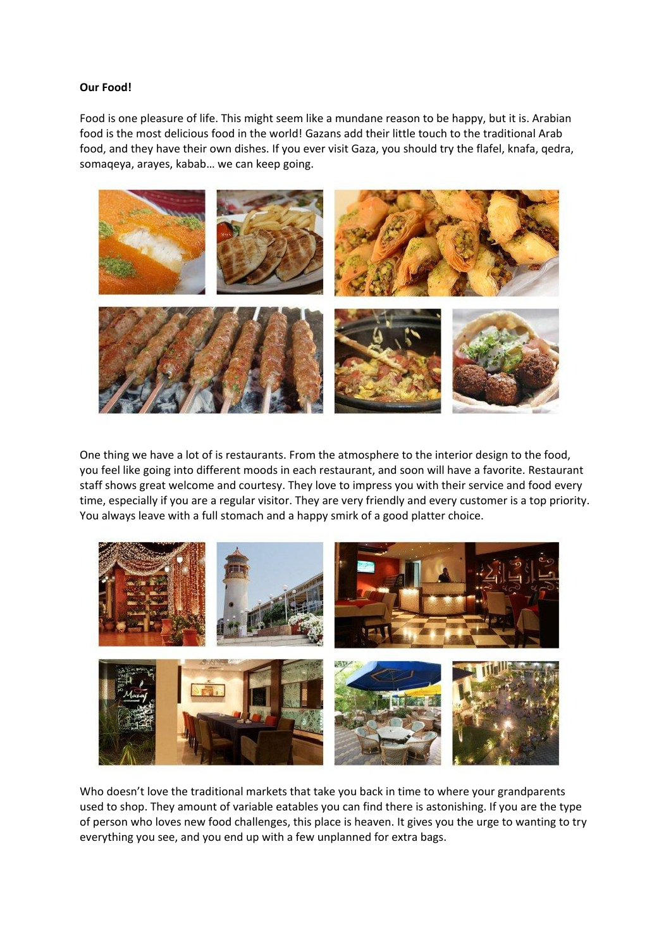#### **Our Food!**

Food is one pleasure of life. This might seem like a mundane reason to be happy, but it is. Arabian food is the most delicious food in the world! Gazans add their little touch to the traditional Arab food, and they have their own dishes. If you ever visit Gaza, you should try the flafel, knafa, qedra, somaqeya, arayes, kabab… we can keep going.



One thing we have a lot of is restaurants. From the atmosphere to the interior design to the food, you feel like going into different moods in each restaurant, and soon will have a favorite. Restaurant staff shows great welcome and courtesy. They love to impress you with their service and food every time, especially if you are a regular visitor. They are very friendly and every customer is a top priority. You always leave with a full stomach and a happy smirk of a good platter choice.



Who doesn't love the traditional markets that take you back in time to where your grandparents used to shop. They amount of variable eatables you can find there is astonishing. If you are the type of person who loves new food challenges, this place is heaven. It gives you the urge to wanting to try everything you see, and you end up with a few unplanned for extra bags.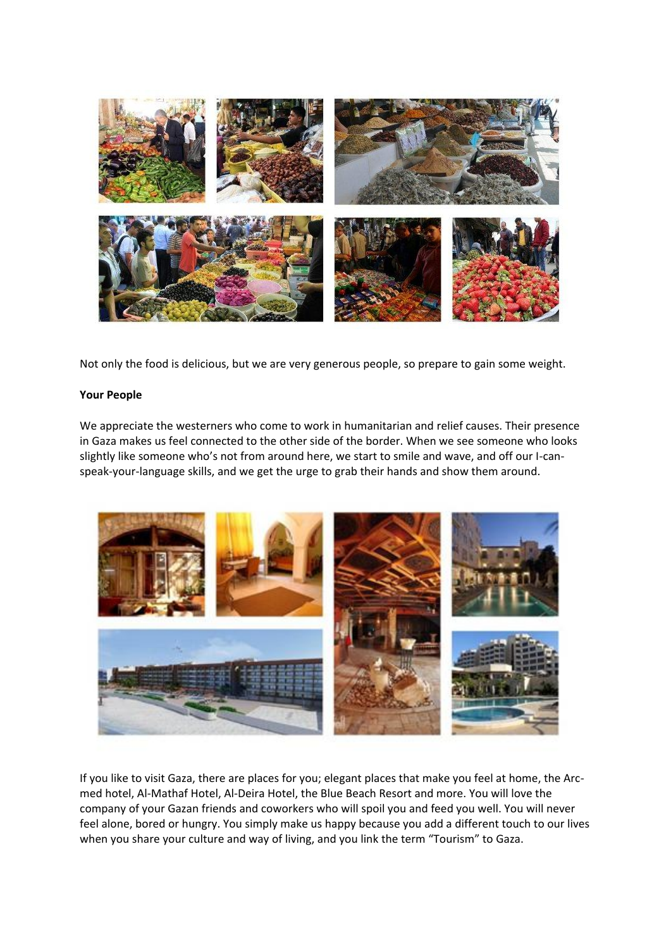

Not only the food is delicious, but we are very generous people, so prepare to gain some weight.

#### **Your People**

We appreciate the westerners who come to work in humanitarian and relief causes. Their presence in Gaza makes us feel connected to the other side of the border. When we see someone who looks slightly like someone who's not from around here, we start to smile and wave, and off our I-canspeak-your-language skills, and we get the urge to grab their hands and show them around.



If you like to visit Gaza, there are places for you; elegant places that make you feel at home, the Arcmed hotel, Al-Mathaf Hotel, Al-Deira Hotel, the Blue Beach Resort and more. You will love the company of your Gazan friends and coworkers who will spoil you and feed you well. You will never feel alone, bored or hungry. You simply make us happy because you add a different touch to our lives when you share your culture and way of living, and you link the term "Tourism" to Gaza.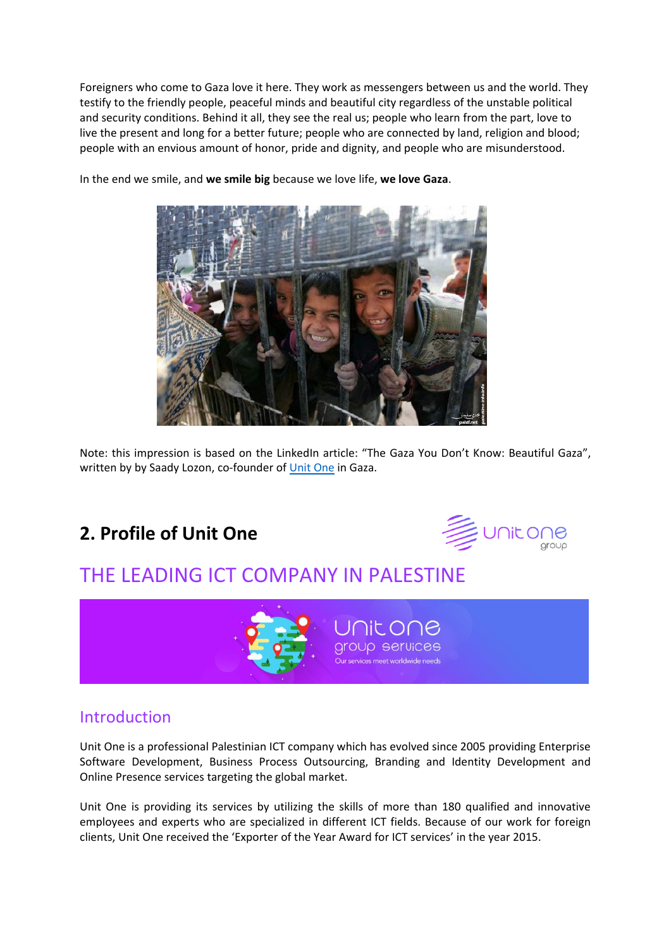Foreigners who come to Gaza love it here. They work as messengers between us and the world. They testify to the friendly people, peaceful minds and beautiful city regardless of the unstable political and security conditions. Behind it all, they see the real us; people who learn from the part, love to live the present and long for a better future; people who are connected by land, religion and blood; people with an envious amount of honor, pride and dignity, and people who are misunderstood.

In the end we smile, and **we smile big** because we love life, **we love Gaza**.

Note: this impression is based on the LinkedIn article: "The Gaza You Don't Know: Beautiful Gaza", written by by Saady Lozon, co-founder of [Unit One](http://www.unitone.co/) in Gaza.

# **2. Profile of Unit One**



# THE LEADING ICT COMPANY IN PALESTINE



### Introduction

Unit One is a professional Palestinian ICT company which has evolved since 2005 providing Enterprise Software Development, Business Process Outsourcing, Branding and Identity Development and Online Presence services targeting the global market.

Unit One is providing its services by utilizing the skills of more than 180 qualified and innovative employees and experts who are specialized in different ICT fields. Because of our work for foreign clients, Unit One received the 'Exporter of the Year Award for ICT services' in the year 2015.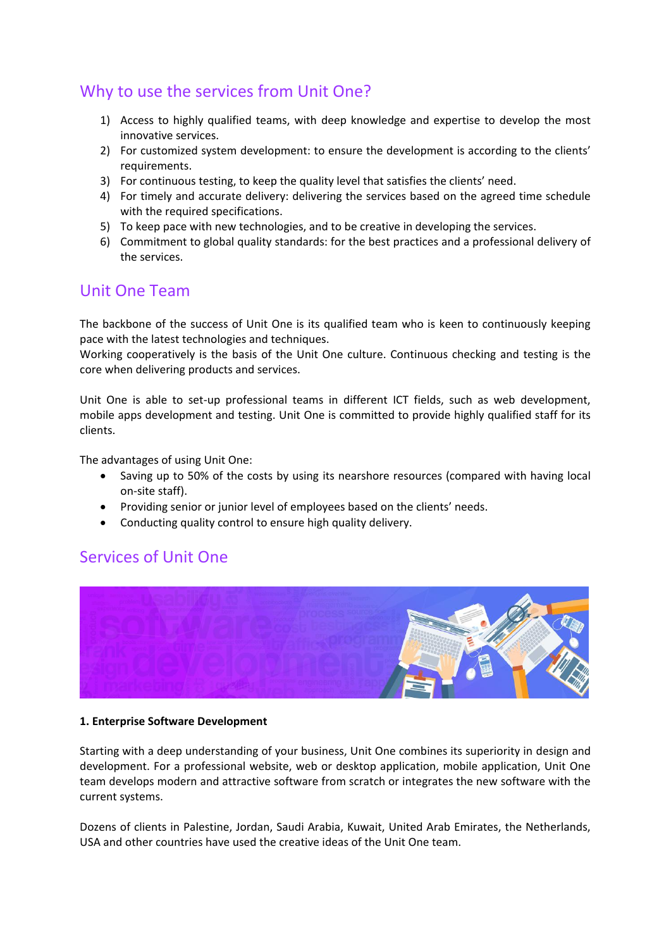### Why to use the services from Unit One?

- 1) Access to highly qualified teams, with deep knowledge and expertise to develop the most innovative services.
- 2) For customized system development: to ensure the development is according to the clients' requirements.
- 3) For continuous testing, to keep the quality level that satisfies the clients' need.
- 4) For timely and accurate delivery: delivering the services based on the agreed time schedule with the required specifications.
- 5) To keep pace with new technologies, and to be creative in developing the services.
- 6) Commitment to global quality standards: for the best practices and a professional delivery of the services.

### Unit One Team

The backbone of the success of Unit One is its qualified team who is keen to continuously keeping pace with the latest technologies and techniques.

Working cooperatively is the basis of the Unit One culture. Continuous checking and testing is the core when delivering products and services.

Unit One is able to set-up professional teams in different ICT fields, such as web development, mobile apps development and testing. Unit One is committed to provide highly qualified staff for its clients.

The advantages of using Unit One:

- Saving up to 50% of the costs by using its nearshore resources (compared with having local on-site staff).
- Providing senior or junior level of employees based on the clients' needs.
- Conducting quality control to ensure high quality delivery.

### Services of Unit One



### **1. Enterprise Software Development**

Starting with a deep understanding of your business, Unit One combines its superiority in design and development. For a professional website, web or desktop application, mobile application, Unit One team develops modern and attractive software from scratch or integrates the new software with the current systems.

Dozens of clients in Palestine, Jordan, Saudi Arabia, Kuwait, United Arab Emirates, the Netherlands, USA and other countries have used the creative ideas of the Unit One team.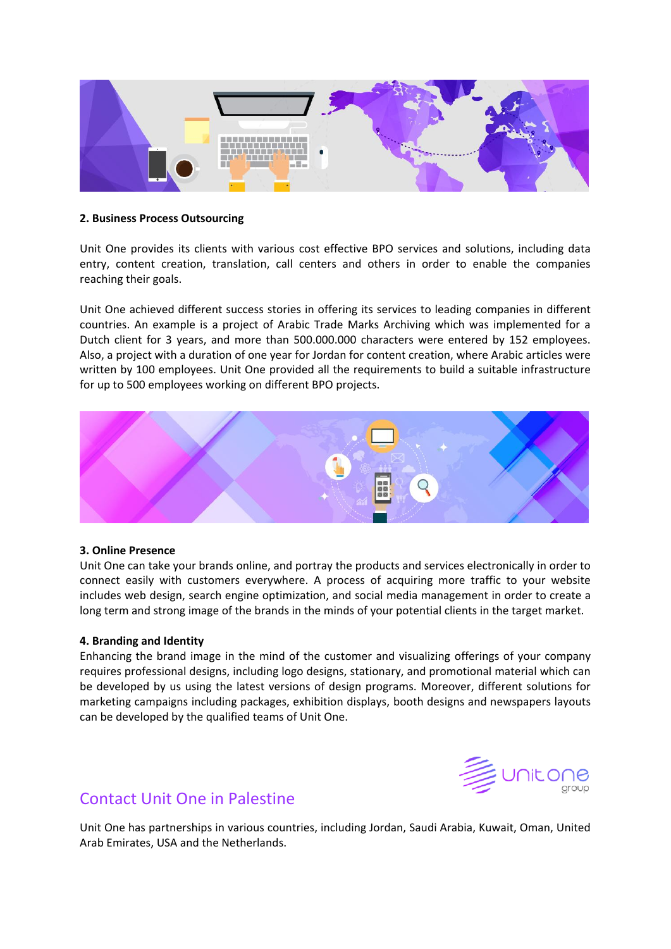

### **2. Business Process Outsourcing**

Unit One provides its clients with various cost effective BPO services and solutions, including data entry, content creation, translation, call centers and others in order to enable the companies reaching their goals.

Unit One achieved different success stories in offering its services to leading companies in different countries. An example is a project of Arabic Trade Marks Archiving which was implemented for a Dutch client for 3 years, and more than 500.000.000 characters were entered by 152 employees. Also, a project with a duration of one year for Jordan for content creation, where Arabic articles were written by 100 employees. Unit One provided all the requirements to build a suitable infrastructure for up to 500 employees working on different BPO projects.



### **3. Online Presence**

Unit One can take your brands online, and portray the products and services electronically in order to connect easily with customers everywhere. A process of acquiring more traffic to your website includes web design, search engine optimization, and social media management in order to create a long term and strong image of the brands in the minds of your potential clients in the target market.

### **4. Branding and Identity**

Enhancing the brand image in the mind of the customer and visualizing offerings of your company requires professional designs, including logo designs, stationary, and promotional material which can be developed by us using the latest versions of design programs. Moreover, different solutions for marketing campaigns including packages, exhibition displays, booth designs and newspapers layouts can be developed by the qualified teams of Unit One.



### Contact Unit One in Palestine

Unit One has partnerships in various countries, including Jordan, Saudi Arabia, Kuwait, Oman, United Arab Emirates, USA and the Netherlands.